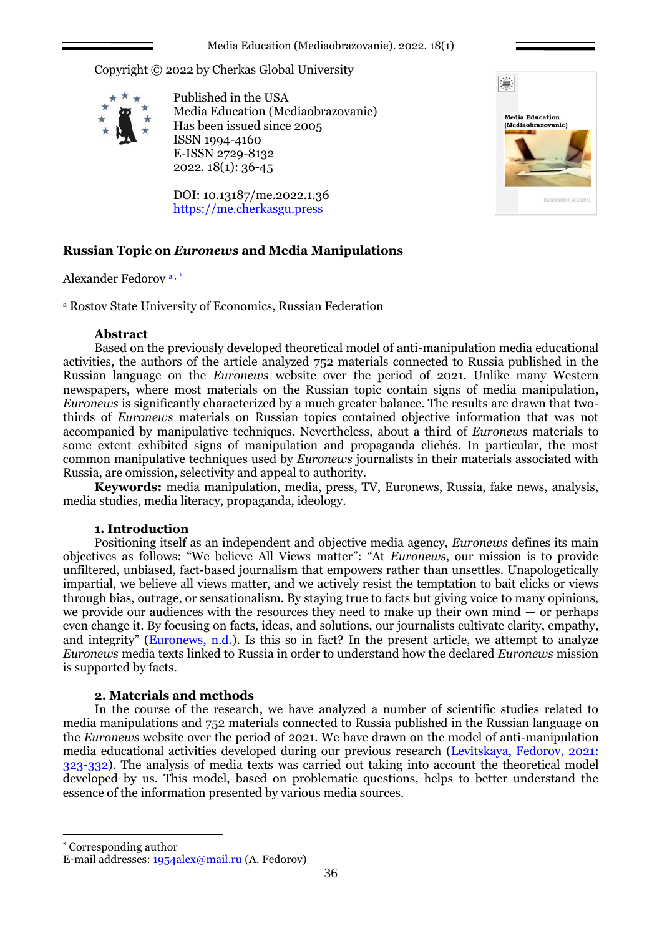Copyright © 2022 by Cherkas Global University



Published in the USA Media Education (Mediaobrazovanie) Has been issued since 2005 ISSN 1994-4160 E-ISSN 2729-8132 2022. 18(1): 36-45

DOI: 10.13187/me.2022.1.36 https://me.cherkasgu.press



# **Russian Topic on** *Euronews* **and Media Manipulations**

Alexander Fedorov a , \*

<sup>а</sup> Rostov State University of Economics, Russian Federation

## **Abstract**

Based on the previously developed theoretical model of anti-manipulation media educational activities, the authors of the article analyzed 752 materials connected to Russia published in the Russian language on the *Euronews* website over the period of 2021. Unlike many Western newspapers, where most materials on the Russian topic contain signs of media manipulation, *Euronews* is significantly characterized by a much greater balance. The results are drawn that twothirds of *Euronews* materials on Russian topics contained objective information that was not accompanied by manipulative techniques. Nevertheless, about a third of *Euronews* materials to some extent exhibited signs of manipulation and propaganda clichés. In particular, the most common manipulative techniques used by *Euronews* journalists in their materials associated with Russia, are omission, selectivity and appeal to authority.

**Keywords:** media manipulation, media, press, TV, Euronews, Russia, fake news, analysis, media studies, media literacy, propaganda, ideology.

# **1. Introduction**

Positioning itself as an independent and objective media agency, *Euronews* defines its main objectives as follows: "We believe All Views matter": "At *Euronews*, our mission is to provide unfiltered, unbiased, fact-based journalism that empowers rather than unsettles. Unapologetically impartial, we believe all views matter, and we actively resist the temptation to bait clicks or views through bias, outrage, or sensationalism. By staying true to facts but giving voice to many opinions, we provide our audiences with the resources they need to make up their own mind  $-$  or perhaps even change it. By focusing on facts, ideas, and solutions, our journalists cultivate clarity, empathy, and integrity" (Euronews, n.d.). Is this so in fact? In the present article, we attempt to analyze *Euronews* media texts linked to Russia in order to understand how the declared *Euronews* mission is supported by facts.

# **2. Materials and methods**

In the course of the research, we have analyzed a number of scientific studies related to media manipulations and 752 materials connected to Russia published in the Russian language on the *Euronews* website over the period of 2021. We have drawn on the model of anti-manipulation media educational activities developed during our previous research (Levitskaya, Fedorov, 2021: 323-332). The analysis of media texts was carried out taking into account the theoretical model developed by us. This model, based on problematic questions, helps to better understand the essence of the information presented by various media sources.

\* Corresponding author

1

E-mail addresses: [1954alex@mail.ru](mailto:1954alex@mail.ru) (A. Fedorov)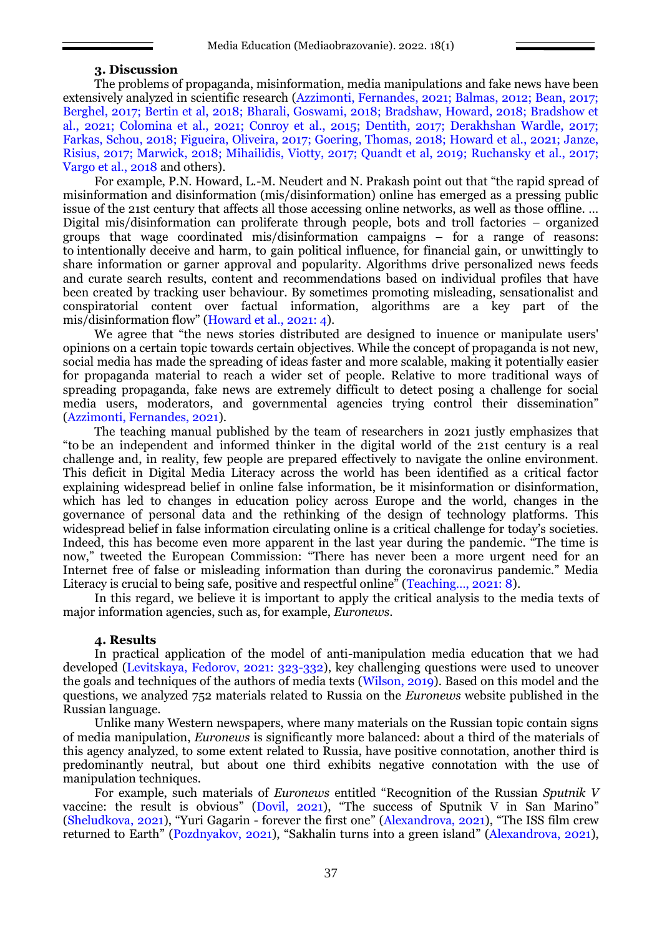#### **3. Discussion**

The problems of propaganda, misinformation, media manipulations and fake news have been extensively analyzed in scientific research (Azzimonti, Fernandes, 2021; Balmas, 2012; Bean, 2017; Berghel, 2017; Bertin et al, 2018; Bharali, Goswami, 2018; Bradshaw, Howard, 2018; Bradshow et al., 2021; Colomina et al., 2021; Conroy et al., 2015; Dentith, 2017; Derakhshan Wardle, 2017; Farkas, Schou, 2018; Figueira, Oliveira, 2017; Goering, Thomas, 2018; Howard et al., 2021; Janze, Risius, 2017; Marwick, 2018; Mihailidis, Viotty, 2017; Quandt et al, 2019; Ruchansky et al., 2017; Vargo et al., 2018 and others).

For example, P.N. Howard, L.-M. Neudert and N. Prakash point out that "the rapid spread of misinformation and disinformation (mis/disinformation) online has emerged as a pressing public issue of the 21st century that affects all those accessing online networks, as well as those offline. … Digital mis/disinformation can proliferate through people, bots and troll factories – organized groups that wage coordinated mis/disinformation campaigns – for a range of reasons: to intentionally deceive and harm, to gain political influence, for financial gain, or unwittingly to share information or garner approval and popularity. Algorithms drive personalized news feeds and curate search results, content and recommendations based on individual profiles that have been created by tracking user behaviour. By sometimes promoting misleading, sensationalist and conspiratorial content over factual information, algorithms are a key part of the mis/disinformation flow" (Howard et al., 2021: 4).

We agree that "the news stories distributed are designed to inuence or manipulate users' opinions on a certain topic towards certain objectives. While the concept of propaganda is not new, social media has made the spreading of ideas faster and more scalable, making it potentially easier for propaganda material to reach a wider set of people. Relative to more traditional ways of spreading propaganda, fake news are extremely difficult to detect posing a challenge for social media users, moderators, and governmental agencies trying control their dissemination" (Azzimonti, Fernandes, 2021).

The teaching manual published by the team of researchers in 2021 justly emphasizes that "to be an independent and informed thinker in the digital world of the 21st century is a real challenge and, in reality, few people are prepared effectively to navigate the online environment. This deficit in Digital Media Literacy across the world has been identified as a critical factor explaining widespread belief in online false information, be it misinformation or disinformation, which has led to changes in education policy across Europe and the world, changes in the governance of personal data and the rethinking of the design of technology platforms. This widespread belief in false information circulating online is a critical challenge for today's societies. Indeed, this has become even more apparent in the last year during the pandemic. "The time is now," tweeted the European Commission: "There has never been a more urgent need for an Internet free of false or misleading information than during the coronavirus pandemic." Media Literacy is crucial to being safe, positive and respectful online" (Teaching..., 2021: 8).

In this regard, we believe it is important to apply the critical analysis to the media texts of major information agencies, such as, for example, *Euronews*.

## **4. Results**

In practical application of the model of anti-manipulation media education that we had developed (Levitskaya, Fedorov, 2021: 323-332), key challenging questions were used to uncover the goals and techniques of the authors of media texts (Wilson, 2019). Based on this model and the questions, we analyzed 752 materials related to Russia on the *Euronews* website published in the Russian language.

Unlike many Western newspapers, where many materials on the Russian topic contain signs of media manipulation, *Euronews* is significantly more balanced: about a third of the materials of this agency analyzed, to some extent related to Russia, have positive connotation, another third is predominantly neutral, but about one third exhibits negative connotation with the use of manipulation techniques.

For example, such materials of *Euronews* entitled "Recognition of the Russian *Sputnik V* vaccine: the result is obvious" (Dovil, 2021), "The success of Sputnik V in San Marino" (Sheludkova, 2021), "Yuri Gagarin - forever the first one" (Alexandrova, 2021), "The ISS film crew returned to Earth" (Pozdnyakov, 2021), "Sakhalin turns into a green island" (Alexandrova, 2021),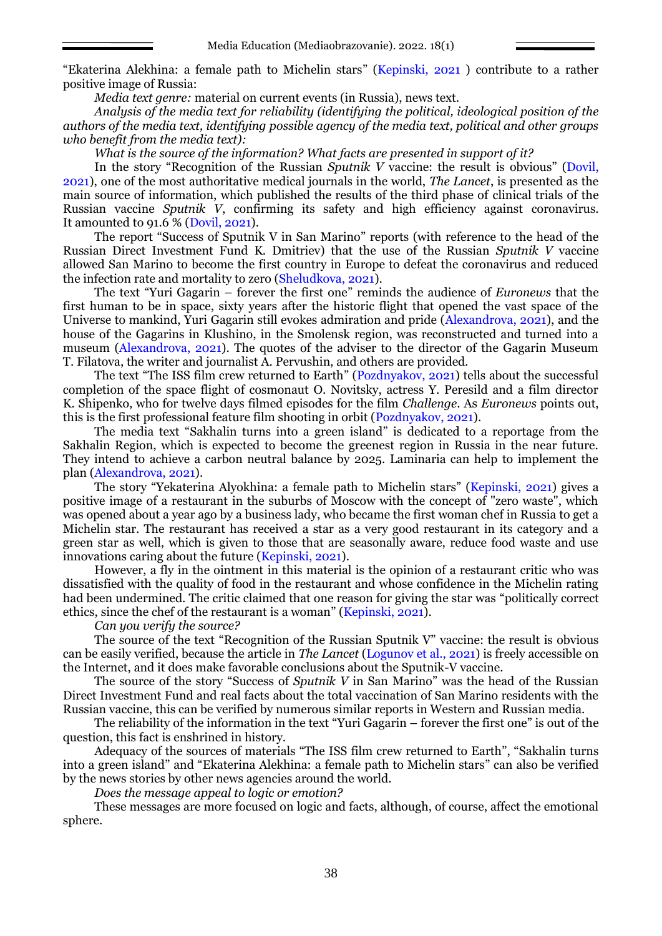"Ekaterina Alekhina: a female path to Michelin stars" (Kepinski, 2021 ) contribute to a rather positive image of Russia:

*Media text genre:* material on current events (in Russia), news text.

*Analysis of the media text for reliability (identifying the political, ideological position of the authors of the media text, identifying possible agency of the media text, political and other groups who benefit from the media text):*

*What is the source of the information? What facts are presented in support of it?*

In the story "Recognition of the Russian *Sputnik V* vaccine: the result is obvious" (Dovil, 2021), one of the most authoritative medical journals in the world, *The Lancet*, is presented as the main source of information, which published the results of the third phase of clinical trials of the Russian vaccine *Sputnik V*, confirming its safety and high efficiency against coronavirus. It amounted to 91.6 % (Dovil, 2021).

The report "Success of Sputnik V in San Marino" reports (with reference to the head of the Russian Direct Investment Fund K. Dmitriev) that the use of the Russian *Sputnik V* vaccine allowed San Marino to become the first country in Europe to defeat the coronavirus and reduced the infection rate and mortality to zero (Sheludkova, 2021).

The text "Yuri Gagarin – forever the first one" reminds the audience of *Euronews* that the first human to be in space, sixty years after the historic flight that opened the vast space of the Universe to mankind, Yuri Gagarin still evokes admiration and pride (Alexandrova, 2021), and the house of the Gagarins in Klushino, in the Smolensk region, was reconstructed and turned into a museum (Alexandrova, 2021). The quotes of the adviser to the director of the Gagarin Museum T. Filatova, the writer and journalist A. Pervushin, and others are provided.

The text "The ISS film crew returned to Earth" (Pozdnyakov, 2021) tells about the successful completion of the space flight of cosmonaut O. Novitsky, actress Y. Peresild and a film director K. Shipenko, who for twelve days filmed episodes for the film *Challenge*. As *Euronews* points out, this is the first professional feature film shooting in orbit (Pozdnyakov, 2021).

The media text "Sakhalin turns into a green island" is dedicated to a reportage from the Sakhalin Region, which is expected to become the greenest region in Russia in the near future. They intend to achieve a carbon neutral balance by 2025. Laminaria can help to implement the plan (Alexandrova, 2021).

The story "Yekaterina Alyokhina: a female path to Michelin stars" (Kepinski, 2021) gives a positive image of a restaurant in the suburbs of Moscow with the concept of "zero waste", which was opened about a year ago by a business lady, who became the first woman chef in Russia to get a Michelin star. The restaurant has received a star as a very good restaurant in its category and a green star as well, which is given to those that are seasonally aware, reduce food waste and use innovations caring about the future (Kepinski, 2021).

However, a fly in the ointment in this material is the opinion of a restaurant critic who was dissatisfied with the quality of food in the restaurant and whose confidence in the Michelin rating had been undermined. The critic claimed that one reason for giving the star was "politically correct ethics, since the chef of the restaurant is a woman" (Kepinski, 2021).

*Can you verify the source?*

The source of the text "Recognition of the Russian Sputnik V" vaccine: the result is obvious can be easily verified, because the article in *The Lancet* (Logunov et al., 2021) is freely accessible on the Internet, and it does make favorable conclusions about the Sputnik-V vaccine.

The source of the story "Success of *Sputnik V* in San Marino" was the head of the Russian Direct Investment Fund and real facts about the total vaccination of San Marino residents with the Russian vaccine, this can be verified by numerous similar reports in Western and Russian media.

The reliability of the information in the text "Yuri Gagarin – forever the first one" is out of the question, this fact is enshrined in history.

Adequacy of the sources of materials "The ISS film crew returned to Earth", "Sakhalin turns into a green island" and "Ekaterina Alekhina: a female path to Michelin stars" can also be verified by the news stories by other news agencies around the world.

*Does the message appeal to logic or emotion?*

These messages are more focused on logic and facts, although, of course, affect the emotional sphere.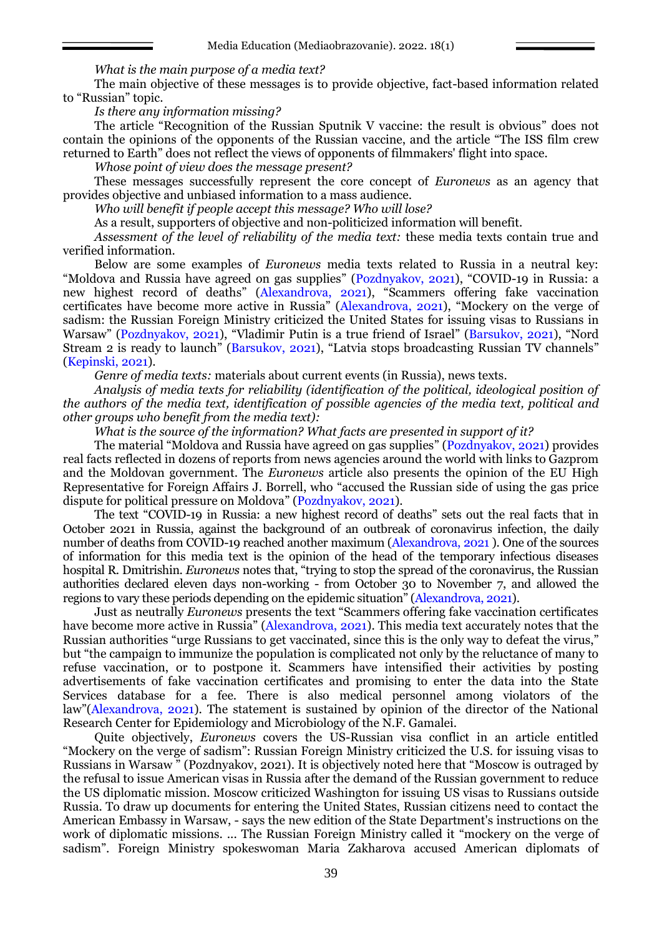*What is the main purpose of a media text?*

The main objective of these messages is to provide objective, fact-based information related to "Russian" topic.

*Is there any information missing?*

The article "Recognition of the Russian Sputnik V vaccine: the result is obvious" does not contain the opinions of the opponents of the Russian vaccine, and the article "The ISS film crew returned to Earth" does not reflect the views of opponents of filmmakers' flight into space.

*Whose point of view does the message present?*

These messages successfully represent the core concept of *Euronews* as an agency that provides objective and unbiased information to a mass audience.

*Who will benefit if people accept this message? Who will lose?*

As a result, supporters of objective and non-politicized information will benefit.

*Assessment of the level of reliability of the media text:* these media texts contain true and verified information.

Below are some examples of *Euronews* media texts related to Russia in a neutral key: "Moldova and Russia have agreed on gas supplies" (Pozdnyakov, 2021), "COVID-19 in Russia: a new highest record of deaths" (Alexandrova, 2021), "Scammers offering fake vaccination certificates have become more active in Russia" (Alexandrova, 2021), "Mockery on the verge of sadism: the Russian Foreign Ministry criticized the United States for issuing visas to Russians in Warsaw" (Pozdnyakov, 2021), "Vladimir Putin is a true friend of Israel" (Barsukov, 2021), "Nord Stream 2 is ready to launch" (Barsukov, 2021), "Latvia stops broadcasting Russian TV channels" (Kepinski, 2021).

*Genre of media texts:* materials about current events (in Russia), news texts.

*Analysis of media texts for reliability (identification of the political, ideological position of the authors of the media text, identification of possible agencies of the media text, political and other groups who benefit from the media text):*

*What is the source of the information? What facts are presented in support of it?*

The material "Moldova and Russia have agreed on gas supplies" (Pozdnyakov, 2021) provides real facts reflected in dozens of reports from news agencies around the world with links to Gazprom and the Moldovan government. The *Euronews* article also presents the opinion of the EU High Representative for Foreign Affairs J. Borrell, who "accused the Russian side of using the gas price dispute for political pressure on Moldova" (Pozdnyakov, 2021).

The text "COVID-19 in Russia: a new highest record of deaths" sets out the real facts that in October 2021 in Russia, against the background of an outbreak of coronavirus infection, the daily number of deaths from COVID-19 reached another maximum (Alexandrova, 2021 ). One of the sources of information for this media text is the opinion of the head of the temporary infectious diseases hospital R. Dmitrishin. *Euronews* notes that, "trying to stop the spread of the coronavirus, the Russian authorities declared eleven days non-working - from October 30 to November 7, and allowed the regions to vary these periods depending on the epidemic situation" (Alexandrova, 2021).

Just as neutrally *Euronews* presents the text "Scammers offering fake vaccination certificates have become more active in Russia" (Alexandrova, 2021). This media text accurately notes that the Russian authorities "urge Russians to get vaccinated, since this is the only way to defeat the virus," but "the campaign to immunize the population is complicated not only by the reluctance of many to refuse vaccination, or to postpone it. Scammers have intensified their activities by posting advertisements of fake vaccination certificates and promising to enter the data into the State Services database for a fee. There is also medical personnel among violators of the law"(Alexandrova, 2021). The statement is sustained by opinion of the director of the National Research Center for Epidemiology and Microbiology of the N.F. Gamalei.

Quite objectively, *Euronews* covers the US-Russian visa conflict in an article entitled "Mockery on the verge of sadism": Russian Foreign Ministry criticized the U.S. for issuing visas to Russians in Warsaw " (Pozdnyakov, 2021). It is objectively noted here that "Moscow is outraged by the refusal to issue American visas in Russia after the demand of the Russian government to reduce the US diplomatic mission. Moscow criticized Washington for issuing US visas to Russians outside Russia. To draw up documents for entering the United States, Russian citizens need to contact the American Embassy in Warsaw, - says the new edition of the State Department's instructions on the work of diplomatic missions. ... The Russian Foreign Ministry called it "mockery on the verge of sadism". Foreign Ministry spokeswoman Maria Zakharova accused American diplomats of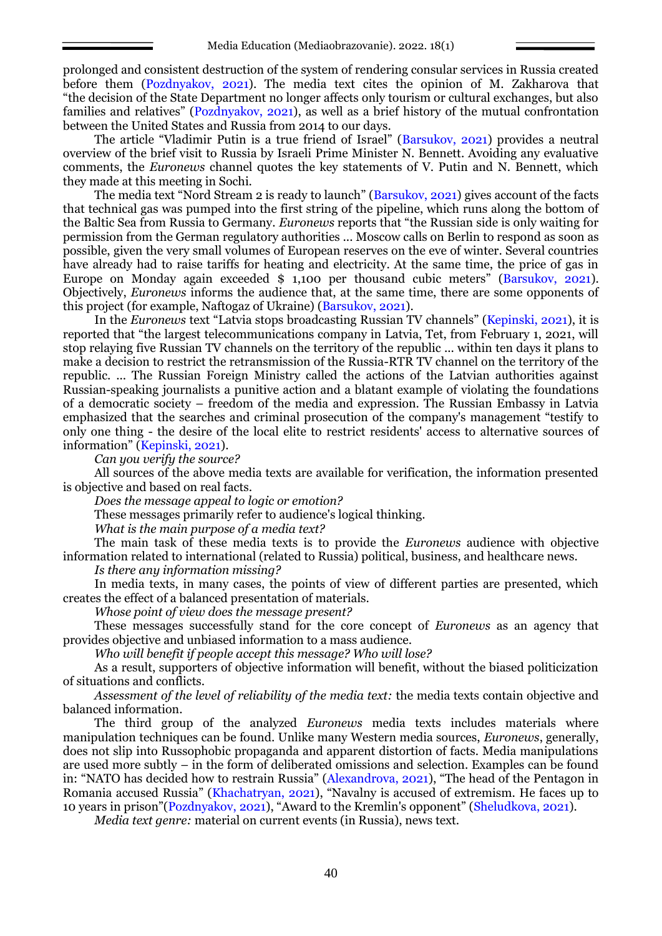prolonged and consistent destruction of the system of rendering consular services in Russia created before them (Pozdnyakov, 2021). The media text cites the opinion of M. Zakharova that "the decision of the State Department no longer affects only tourism or cultural exchanges, but also families and relatives" (Pozdnyakov, 2021), as well as a brief history of the mutual confrontation between the United States and Russia from 2014 to our days.

The article "Vladimir Putin is a true friend of Israel" (Barsukov, 2021) provides a neutral overview of the brief visit to Russia by Israeli Prime Minister N. Bennett. Avoiding any evaluative comments, the *Euronews* channel quotes the key statements of V. Putin and N. Bennett, which they made at this meeting in Sochi.

The media text "Nord Stream 2 is ready to launch" (Barsukov, 2021) gives account of the facts that technical gas was pumped into the first string of the pipeline, which runs along the bottom of the Baltic Sea from Russia to Germany. *Euronews* reports that "the Russian side is only waiting for permission from the German regulatory authorities ... Moscow calls on Berlin to respond as soon as possible, given the very small volumes of European reserves on the eve of winter. Several countries have already had to raise tariffs for heating and electricity. At the same time, the price of gas in Europe on Monday again exceeded \$ 1,100 per thousand cubic meters" (Barsukov, 2021). Objectively, *Euronews* informs the audience that, at the same time, there are some opponents of this project (for example, Naftogaz of Ukraine) (Barsukov, 2021).

In the *Euronews* text "Latvia stops broadcasting Russian TV channels" (Kepinski, 2021), it is reported that "the largest telecommunications company in Latvia, Tet, from February 1, 2021, will stop relaying five Russian TV channels on the territory of the republic ... within ten days it plans to make a decision to restrict the retransmission of the Russia-RTR TV channel on the territory of the republic. ... The Russian Foreign Ministry called the actions of the Latvian authorities against Russian-speaking journalists a punitive action and a blatant example of violating the foundations of a democratic society – freedom of the media and expression. The Russian Embassy in Latvia emphasized that the searches and criminal prosecution of the company's management "testify to only one thing - the desire of the local elite to restrict residents' access to alternative sources of information" (Kepinski, 2021).

*Can you verify the source?*

All sources of the above media texts are available for verification, the information presented is objective and based on real facts.

*Does the message appeal to logic or emotion?*

These messages primarily refer to audience's logical thinking.

*What is the main purpose of a media text?*

The main task of these media texts is to provide the *Euronews* audience with objective information related to international (related to Russia) political, business, and healthcare news.

*Is there any information missing?*

In media texts, in many cases, the points of view of different parties are presented, which creates the effect of a balanced presentation of materials.

*Whose point of view does the message present?*

These messages successfully stand for the core concept of *Euronews* as an agency that provides objective and unbiased information to a mass audience.

*Who will benefit if people accept this message? Who will lose?*

As a result, supporters of objective information will benefit, without the biased politicization of situations and conflicts.

*Assessment of the level of reliability of the media text:* the media texts contain objective and balanced information.

The third group of the analyzed *Euronews* media texts includes materials where manipulation techniques can be found. Unlike many Western media sources, *Euronews*, generally, does not slip into Russophobic propaganda and apparent distortion of facts. Media manipulations are used more subtly – in the form of deliberated omissions and selection. Examples can be found in: "NATO has decided how to restrain Russia" (Alexandrova, 2021), "The head of the Pentagon in Romania accused Russia" (Khachatryan, 2021), "Navalny is accused of extremism. He faces up to 10 years in prison"(Pozdnyakov, 2021), "Award to the Kremlin's opponent" (Sheludkova, 2021).

*Media text genre:* material on current events (in Russia), news text.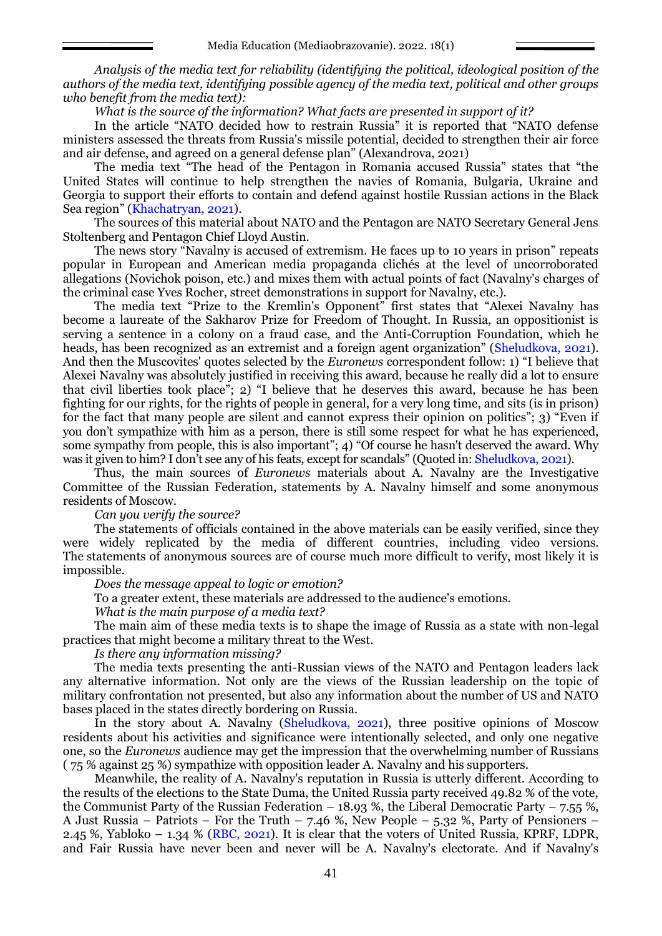*Analysis of the media text for reliability (identifying the political, ideological position of the authors of the media text, identifying possible agency of the media text, political and other groups who benefit from the media text):*

*What is the source of the information? What facts are presented in support of it?*

In the article "NATO decided how to restrain Russia" it is reported that "NATO defense ministers assessed the threats from Russia's missile potential, decided to strengthen their air force and air defense, and agreed on a general defense plan" (Alexandrova, 2021)

The media text "The head of the Pentagon in Romania accused Russia" states that "the United States will continue to help strengthen the navies of Romania, Bulgaria, Ukraine and Georgia to support their efforts to contain and defend against hostile Russian actions in the Black Sea region" (Khachatryan, 2021).

The sources of this material about NATO and the Pentagon are NATO Secretary General Jens Stoltenberg and Pentagon Chief Lloyd Austin.

The news story "Navalny is accused of extremism. He faces up to 10 years in prison" repeats popular in European and American media propaganda clichés at the level of uncorroborated allegations (Novichok poison, etc.) and mixes them with actual points of fact (Navalny's charges of the criminal case Yves Rocher, street demonstrations in support for Navalny, etc.).

The media text "Prize to the Kremlin's Opponent" first states that "Alexei Navalny has become a laureate of the Sakharov Prize for Freedom of Thought. In Russia, an oppositionist is serving a sentence in a colony on a fraud case, and the Anti-Corruption Foundation, which he heads, has been recognized as an extremist and a foreign agent organization" (Sheludkova, 2021). And then the Muscovites' quotes selected by the *Euronews* correspondent follow: 1) "I believe that Alexei Navalny was absolutely justified in receiving this award, because he really did a lot to ensure that civil liberties took place"; 2) "I believe that he deserves this award, because he has been fighting for our rights, for the rights of people in general, for a very long time, and sits (is in prison) for the fact that many people are silent and cannot express their opinion on politics"; 3) "Even if you don't sympathize with him as a person, there is still some respect for what he has experienced, some sympathy from people, this is also important"; 4) "Of course he hasn't deserved the award. Why was it given to him? I don't see any of his feats, except for scandals" (Quoted in: Sheludkova, 2021).

Thus, the main sources of *Euronews* materials about A. Navalny are the Investigative Committee of the Russian Federation, statements by A. Navalny himself and some anonymous residents of Moscow.

*Can you verify the source?*

The statements of officials contained in the above materials can be easily verified, since they were widely replicated by the media of different countries, including video versions. The statements of anonymous sources are of course much more difficult to verify, most likely it is impossible.

*Does the message appeal to logic or emotion?*

To a greater extent, these materials are addressed to the audience's emotions.

*What is the main purpose of a media text?*

The main aim of these media texts is to shape the image of Russia as a state with non-legal practices that might become a military threat to the West.

*Is there any information missing?*

The media texts presenting the anti-Russian views of the NATO and Pentagon leaders lack any alternative information. Not only are the views of the Russian leadership on the topic of military confrontation not presented, but also any information about the number of US and NATO bases placed in the states directly bordering on Russia.

In the story about A. Navalny (Sheludkova, 2021), three positive opinions of Moscow residents about his activities and significance were intentionally selected, and only one negative one, so the *Euronews* audience may get the impression that the overwhelming number of Russians ( 75 % against 25 %) sympathize with opposition leader A. Navalny and his supporters.

Meanwhile, the reality of A. Navalny's reputation in Russia is utterly different. According to the results of the elections to the State Duma, the United Russia party received 49.82 % of the vote, the Communist Party of the Russian Federation – 18.93 %, the Liberal Democratic Party – 7.55 %, A Just Russia – Patriots – For the Truth – 7.46 %, New People – 5.32 %, Party of Pensioners – 2.45 %, Yabloko – 1.34 % (RBC, 2021). It is clear that the voters of United Russia, KPRF, LDPR, and Fair Russia have never been and never will be A. Navalny's electorate. And if Navalny's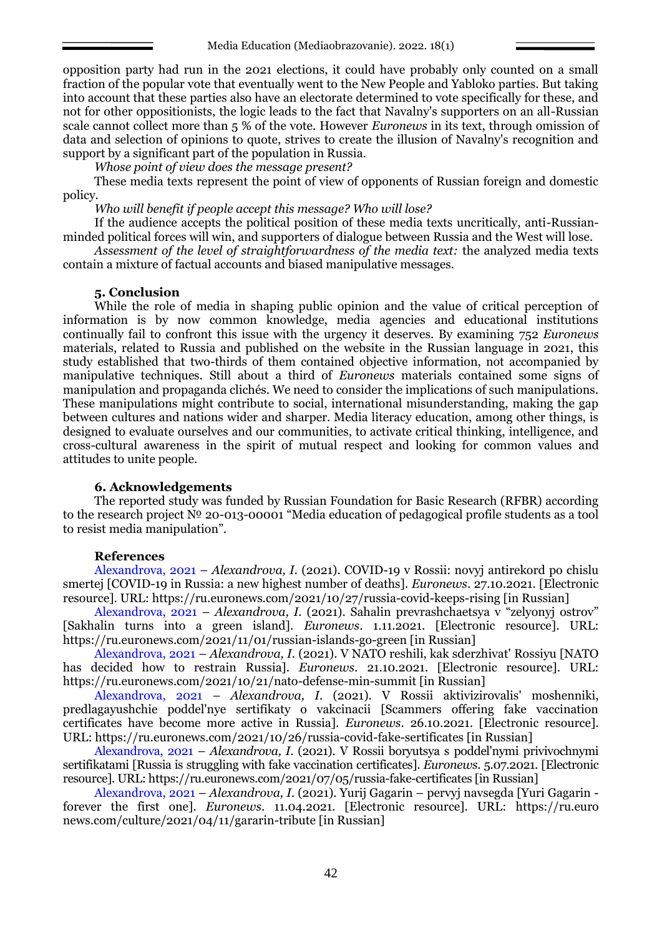opposition party had run in the 2021 elections, it could have probably only counted on a small fraction of the popular vote that eventually went to the New People and Yabloko parties. But taking into account that these parties also have an electorate determined to vote specifically for these, and not for other oppositionists, the logic leads to the fact that Navalny's supporters on an all-Russian scale cannot collect more than 5 % of the vote. However *Euronews* in its text, through omission of data and selection of opinions to quote, strives to create the illusion of Navalny's recognition and support by a significant part of the population in Russia.

*Whose point of view does the message present?*

These media texts represent the point of view of opponents of Russian foreign and domestic policy.

*Who will benefit if people accept this message? Who will lose?*

If the audience accepts the political position of these media texts uncritically, anti-Russianminded political forces will win, and supporters of dialogue between Russia and the West will lose.

*Assessment of the level of straightforwardness of the media text:* the analyzed media texts contain a mixture of factual accounts and biased manipulative messages.

## **5. Conclusion**

While the role of media in shaping public opinion and the value of critical perception of information is by now common knowledge, media agencies and educational institutions continually fail to confront this issue with the urgency it deserves. By examining 752 *Euronews* materials, related to Russia and published on the website in the Russian language in 2021, this study established that two-thirds of them contained objective information, not accompanied by manipulative techniques. Still about a third of *Euronews* materials contained some signs of manipulation and propaganda clichés. We need to consider the implications of such manipulations. These manipulations might contribute to social, international misunderstanding, making the gap between cultures and nations wider and sharper. Media literacy education, among other things, is designed to evaluate ourselves and our communities, to activate critical thinking, intelligence, and cross-cultural awareness in the spirit of mutual respect and looking for common values and attitudes to unite people.

### **6. Acknowledgements**

The reported study was funded by Russian Foundation for Basic Research (RFBR) according to the research project № 20-013-00001 "Media education of pedagogical profile students as a tool to resist media manipulation".

### **References**

Alexandrova, 2021 – *Alexandrova, I.* (2021). COVID-19 v Rossii: novyj antirekord po chislu smertej [COVID-19 in Russia: a new highest number of deaths]. *Euronews*. 27.10.2021. [Electronic resource]. URL:<https://ru.euronews.com/2021/10/27/russia-covid-keeps-rising> [in Russian]

Alexandrova, 2021 – *Alexandrova, I.* (2021). Sahalin prevrashchaetsya v "zelyonyj ostrov" [Sakhalin turns into a green island]. *Euronews*. 1.11.2021. [Electronic resource]. URL: <https://ru.euronews.com/2021/11/01/russian-islands-go-green> [in Russian]

Alexandrova, 2021 – *Alexandrova, I.* (2021). V NATO reshili, kak sderzhivat' Rossiyu [NATO has decided how to restrain Russia]. *Euronews*. 21.10.2021. [Electronic resource]. URL: <https://ru.euronews.com/2021/10/21/nato-defense-min-summit> [in Russian]

Alexandrova, 2021 – *Alexandrova, I.* (2021). V Rossii aktivizirovalis' moshenniki, predlagayushchie poddel'nye sertifikaty o vakcinacii [Scammers offering fake vaccination certificates have become more active in Russia]. *Euronews*. 26.10.2021. [Electronic resource]. URL:<https://ru.euronews.com/2021/10/26/russia-covid-fake-sertificates> [in Russian]

Alexandrova, 2021 – *Alexandrova, I*. (2021). V Rossii boryutsya s poddel'nymi privivochnymi sertifikatami [Russia is struggling with fake vaccination certificates]. *Euronews*. 5.07.2021. [Electronic resource]. URL[: https://ru.euronews.com/2021/07/05/russia-fake-certificates](https://ru.euronews.com/2021/07/05/russia-fake-certificates) [in Russian]

Alexandrova, 2021 – *Alexandrova, I.* (2021). Yurij Gagarin – pervyj navsegda [Yuri Gagarin forever the first one]. *Euronews*. 11.04.2021. [Electronic resource]. URL: [https://ru.euro](https://ru.euronews.com/culture/2021/04/11/gararin-tribute) [news.com/culture/2021/04/11/gararin-tribute](https://ru.euronews.com/culture/2021/04/11/gararin-tribute) [in Russian]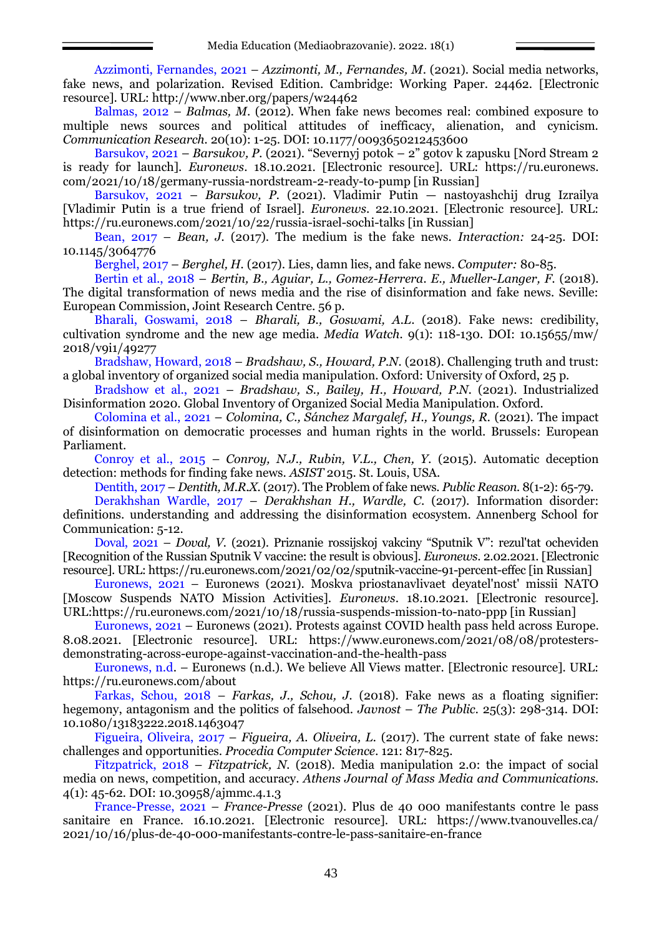Azzimonti, Fernandes, 2021 – *Azzimonti, M., Fernandes, M*. (2021). Social media networks, fake news, and polarization. Revised Edition. Cambridge: Working Paper. 24462. [Electronic resource]. URL: http://www.nber.org/papers/w24462

Balmas, 2012 – *Balmas, M*. (2012). When fake news becomes real: combined exposure to multiple news sources and political attitudes of inefficacy, alienation, and cynicism. *Communication Research.* 20(10): 1-25. DOI: 10.1177/0093650212453600

Barsukov, 2021 – *Barsukov, P.* (2021). "Severnyj potok – 2" gotov k zapusku [Nord Stream 2 is ready for launch]. *Euronews*. 18.10.2021. [Electronic resource]. URL: [https://ru.euronews.](https://ru.euronews.com/2021/10/18/germany-russia-nordstream-2-ready-to-pump) [com/2021/10/18/germany-russia-nordstream-2-ready-to-pump](https://ru.euronews.com/2021/10/18/germany-russia-nordstream-2-ready-to-pump) [in Russian]

Barsukov, 2021 – *Barsukov, P.* (2021). Vladimir Putin — nastoyashchij drug Izrailya [Vladimir Putin is a true friend of Israel]. *Euronews*. 22.10.2021. [Electronic resource]. URL: <https://ru.euronews.com/2021/10/22/russia-israel-sochi-talks> [in Russian]

Bean, 2017 – *Bean, J.* (2017). The medium is the fake news. *Interaction:* 24-25. DOI: 10.1145/3064776

Berghel, 2017 – *Berghel, H.* (2017). Lies, damn lies, and fake news. *Computer:* 80-85.

Bertin et al., 2018 – *Bertin, B., Aguiar, L., Gomez-Herrera. E., Mueller-Langer, F.* (2018). The digital transformation of news media and the rise of disinformation and fake news. Seville: European Commission, Joint Research Centre. 56 p.

Bharali, Goswami, 2018 – *Bharali, B., Goswami, A.L*. (2018). Fake news: credibility, cultivation syndrome and the new age media. *Media Watch.* 9(1): 118-130. DOI: 10.15655/mw/ 2018/v9i1/49277

Bradshaw, Howard, 2018 – *Bradshaw, S., Howard, P.N.* (2018). Challenging truth and trust: a global inventory of organized social media manipulation. Oxford: University of Oxford, 25 p.

Bradshow et al., 2021 – *Bradshaw, S., Bailey, H., Howard, P.N.* (2021). Industrialized Disinformation 2020. Global Inventory of Organized Social Media Manipulation. Oxford.

Colomina et al., 2021 – *Colomina, C., Sánchez Margalef, H., Youngs, R.* (2021). The impact of disinformation on democratic processes and human rights in the world. Brussels: European Parliament.

Conroy et al., 2015 – *Conroy, N.J., Rubin, V.L., Chen, Y.* (2015). Automatic deception detection: methods for finding fake news. *ASIST* 2015. St. Louis, USA.

Dentith, 2017 – *Dentith, M.R.X.* (2017). The Problem of fake news. *Public Reason.* 8(1-2): 65-79.

Derakhshan Wardle, 2017 – *Derakhshan H., Wardle, C*. (2017). Information disorder: definitions. understanding and addressing the disinformation ecosystem. Annenberg School for Communication: 5-12.

Doval, 2021 – *Doval, V.* (2021). Priznanie rossijskoj vakciny "Sputnik V": rezul'tat ocheviden [Recognition of the Russian Sputnik V vaccine: the result is obvious]. *Euronews*. 2.02.2021. [Electronic resource]. URL[: https://ru.euronews.com/2021/02/02/sputnik-vaccine-91-percent-effec](https://ru.euronews.com/2021/02/02/sputnik-vaccine-91-percent-effec) [in Russian]

Euronews, 2021 – Euronews (2021). Moskva priostanavlivaet deyatel'nost' missii NATO [Moscow Suspends NATO Mission Activities]. *Euronews*. 18.10.2021. [Electronic resource]. URL[:https://ru.euronews.com/2021/10/18/russia-suspends-mission-to-nato-ppp](https://ru.euronews.com/2021/10/18/russia-suspends-mission-to-nato-ppp) [in Russian]

Euronews, 2021 – Euronews (2021). Protests against COVID health pass held across Europe. 8.08.2021. [Electronic resource]. URL: https://www.euronews.com/2021/08/08/protestersdemonstrating-across-europe-against-vaccination-and-the-health-pass

Euronews, n.d. – Euronews (n.d.). We believe All Views matter. [Electronic resource]. URL: https://ru.euronews.com/about

Farkas, Schou, 2018 – *Farkas, J., Schou, J.* (2018). Fake news as a floating signifier: hegemony, antagonism and the politics of falsehood. *Javnost* – *The Public.* 25(3): 298-314. DOI: 10.1080/13183222.2018.1463047

Figueira, Oliveira, 2017 – *Figueira, A. Oliveira, L.* (2017). The current state of fake news: challenges and opportunities. *Procedia Computer Science.* 121: 817-825.

Fitzpatrick, 2018 – *Fitzpatrick, N.* (2018). Media manipulation 2.0: the impact of social media on news, competition, and accuracy. *Athens Journal of Mass Media and Communications.*  4(1): 45-62*.* DOI: 10.30958/ajmmc.4.1.3

France-Presse, 2021 – *France-Presse* (2021). Plus de 40 000 manifestants contre le pass sanitaire en France. 16.10.2021. [Electronic resource]. URL: https://www.tvanouvelles.ca/ 2021/10/16/plus-de-40-000-manifestants-contre-le-pass-sanitaire-en-france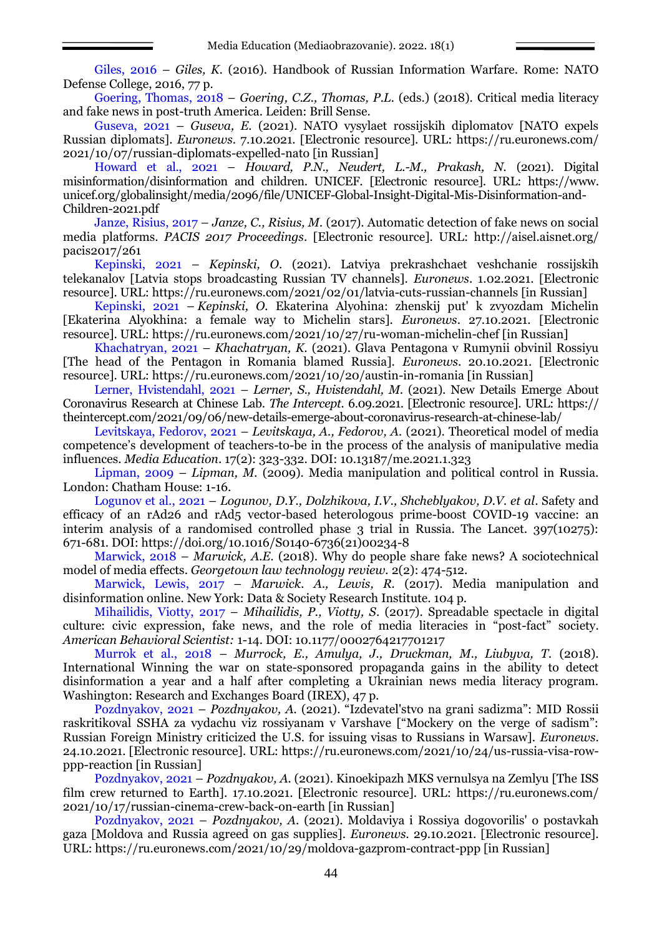Giles, 2016 – *Giles, K.* (2016). Handbook of Russian Information Warfare. Rome: NATO Defense College, 2016, 77 p.

Goering, Thomas, 2018 – *Goering, C.Z., Thomas, P.L.* (eds.) (2018). Critical media literacy and fake news in post-truth America. Leiden: Brill Sense.

Guseva, 2021 – *Guseva, E.* (2021). NATO vysylaet rossijskih diplomatov [NATO expels Russian diplomats]. *Euronews*. 7.10.2021. [Electronic resource]. URL: [https://ru.euronews.com/](https://ru.euronews.com/2021/10/07/russian-diplomats-expelled-nato) [2021/10/07/russian-diplomats-expelled-nato](https://ru.euronews.com/2021/10/07/russian-diplomats-expelled-nato) [in Russian]

Howard et al., 2021 – *Howard, P.N., Neudert, L.-M., Prakash, N.* (2021). Digital misinformation/disinformation and children. UNICEF. [Electronic resource]. URL: https://www. unicef.org/globalinsight/media/2096/file/UNICEF-Global-Insight-Digital-Mis-Disinformation-and-Children-2021.pdf

Janze, Risius, 2017 – *Janze, C., Risius, M.* (2017). Automatic detection of fake news on social media platforms. *PACIS 2017 Proceedings*. [Electronic resource]. URL: [http://aisel.aisnet.org/](http://aisel.aisnet.org/pacis2017/261) [pacis2017/261](http://aisel.aisnet.org/pacis2017/261)

Kepinski, 2021 – *Kepinski, O*. (2021). Latviya prekrashchaet veshchanie rossijskih telekanalov [Latvia stops broadcasting Russian TV channels]. *Euronews*. 1.02.2021. [Electronic resource]. URL:<https://ru.euronews.com/2021/02/01/latvia-cuts-russian-channels> [in Russian]

Kepinski, 2021 – *Kepinski, O.* Ekaterina Alyohina: zhenskij put' k zvyozdam Michelin [Ekaterina Alyokhina: a female way to Michelin stars]. *Euronews*. 27.10.2021. [Electronic resource]. URL:<https://ru.euronews.com/2021/10/27/ru-woman-michelin-chef> [in Russian]

Khachatryan, 2021 – *Khachatryan, K*. (2021). Glava Pentagona v Rumynii obvinil Rossiyu [The head of the Pentagon in Romania blamed Russia]. *Euronews*. 20.10.2021. [Electronic resource]. URL:<https://ru.euronews.com/2021/10/20/austin-in-romania> [in Russian]

Lerner, Hvistendahl, 2021 – *Lerner, S., Hvistendahl, M*. (2021). New Details Emerge About Coronavirus Research at Chinese Lab. *The Intercept.* 6.09.2021. [Electronic resource]. URL: [https://](https://theintercept.com/2021/09/06/new-details-emerge-about-coronavirus-research-at-chinese-lab/) [theintercept.com/2021/09/06/new-details-emerge-about-coronavirus-research-at-chinese-lab/](https://theintercept.com/2021/09/06/new-details-emerge-about-coronavirus-research-at-chinese-lab/)

Levitskaya, Fedorov, 2021 – *Levitskaya, A., Fedorov, A.* (2021). Theoretical model of media competence's development of teachers-to-be in the process of the analysis of manipulative media influences. *Media Education*. 17(2): 323-332. DOI: [10.13187/me.2021.1.323](http://dx.doi.org/10.13187/me.2021.1.323)

Lipman, 2009 – *Lipman, M.* (2009). Media manipulation and political control in Russia. London: Chatham House: 1-16.

Logunov et al., 2021 – *Logunov, D.Y., Dolzhikova, I.V., Shcheblyakov, D.V. et al*. Safety and efficacy of an rAd26 and rAd5 vector-based heterologous prime-boost COVID-19 vaccine: an interim analysis of a randomised controlled phase 3 trial in Russia. The Lancet. 397(10275): 671-681. DOI: https://doi.org/10.1016/S0140-6736(21)00234-8

Marwick, 2018 – *Marwick, A.E.* (2018). Why do people share fake news? A sociotechnical model of media effects. *Georgetown law technology review.* 2(2): 474-512.

Marwick, Lewis, 2017 – *Marwick. A., Lewis, R.* (2017). Media manipulation and disinformation online. New York: Data & Society Research Institute. 104 p.

Mihailidis, Viotty, 2017 – *Mihailidis, P., Viotty, S*. (2017). Spreadable spectacle in digital culture: civic expression, fake news, and the role of media literacies in "post-fact" society. *American Behavioral Scientist:* 1-14. DOI: 10.1177/0002764217701217

Murrok et al., 2018 – *Murrock, E., Amulya, J., Druckman, M., Liubyva, T.* (2018). International Winning the war on state-sponsored propaganda gains in the ability to detect disinformation a year and a half after completing a Ukrainian news media literacy program. Washington: Research and Exchanges Board (IREX), 47 p.

Pozdnyakov, 2021 – *Pozdnyakov, A.* (2021). "Izdevatel'stvo na grani sadizma": MID Rossii raskritikoval SSHA za vydachu viz rossiyanam v Varshave ["Mockery on the verge of sadism": Russian Foreign Ministry criticized the U.S. for issuing visas to Russians in Warsaw]. *Euronews*. 24.10.2021. [Electronic resource]. URL: [https://ru.euronews.com/2021/10/24/us-russia-visa-row](https://ru.euronews.com/2021/10/24/us-russia-visa-row-ppp-reaction)[ppp-reaction](https://ru.euronews.com/2021/10/24/us-russia-visa-row-ppp-reaction) [in Russian]

Pozdnyakov, 2021 – *Pozdnyakov, A.* (2021). Kinoekipazh MKS vernulsya na Zemlyu [The ISS film crew returned to Earth]. 17.10.2021. [Electronic resource]. URL: [https://ru.euronews.com/](https://ru.euronews.com/2021/10/17/russian-cinema-crew-back-on-earth) [2021/10/17/russian-cinema-crew-back-on-earth](https://ru.euronews.com/2021/10/17/russian-cinema-crew-back-on-earth) [in Russian]

Pozdnyakov, 2021 – *Pozdnyakov, A*. (2021). Moldaviya i Rossiya dogovorilis' o postavkah gaza [Moldova and Russia agreed on gas supplies]. *Euronews*. 29.10.2021. [Electronic resource]. URL:<https://ru.euronews.com/2021/10/29/moldova-gazprom-contract-ppp> [in Russian]